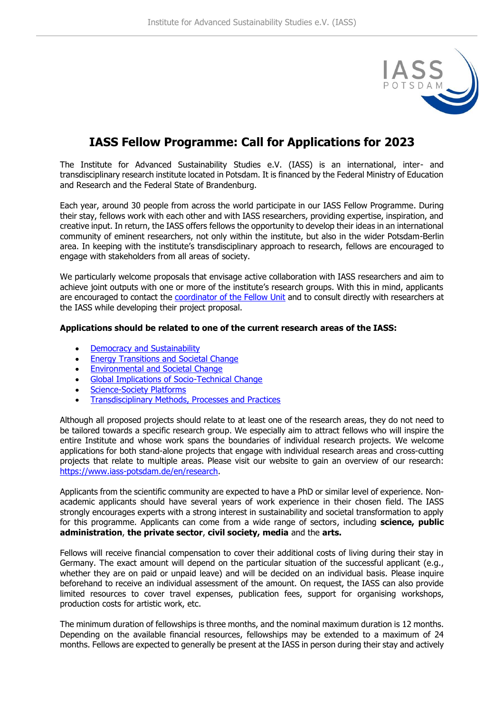

## **IASS Fellow Programme: Call for Applications for 2023**

The Institute for Advanced Sustainability Studies e.V. (IASS) is an international, inter- and transdisciplinary research institute located in Potsdam. It is financed by the Federal Ministry of Education and Research and the Federal State of Brandenburg.

Each year, around 30 people from across the world participate in our IASS Fellow Programme. During their stay, fellows work with each other and with IASS researchers, providing expertise, inspiration, and creative input. In return, the IASS offers fellows the opportunity to develop their ideas in an international community of eminent researchers, not only within the institute, but also in the wider Potsdam-Berlin area. In keeping with the institute's transdisciplinary approach to research, fellows are encouraged to engage with stakeholders from all areas of society.

We particularly welcome proposals that envisage active collaboration with IASS researchers and aim to achieve joint outputs with one or more of the institute's research groups. With this in mind, applicants are encouraged to contact the [coordinator of the Fellow Unit](mailto:fellowship@iass-potsdam.de) and to consult directly with researchers at the IASS while developing their project proposal.

## **Applications should be related to one of the current research areas of the IASS:**

- [Democracy and Sustainability](https://www.iass-potsdam.de/en/research-area/democracy-and-sustainability)
- **Energy Transitions [and Societal Change](https://www.iass-potsdam.de/en/research-area/energy-systems-and-societal-change)**
- [Environmental and Societal Change](https://www.iass-potsdam.de/en/research-area/environmental-and-societal-change)
- [Global Implications of Socio-Technical Change](https://www.iass-potsdam.de/en/research-area/global-implications-of-socio-technical-change)
- [Science-Society Platforms](https://www.iass-potsdam.de/en/research-area/science-society-platforms)
- [Transdisciplinary Methods, Processes and Practices](https://www.iass-potsdam.de/en/research-area/transdisciplinary-methods-processes-practices)

Although all proposed projects should relate to at least one of the research areas, they do not need to be tailored towards a specific research group. We especially aim to attract fellows who will inspire the entire Institute and whose work spans the boundaries of individual research projects. We welcome applications for both stand-alone projects that engage with individual research areas and cross-cutting projects that relate to multiple areas. Please visit our website to gain an overview of our research: [https://www.iass-potsdam.de/en/research.](https://www.iass-potsdam.de/en/research)

Applicants from the scientific community are expected to have a PhD or similar level of experience. Nonacademic applicants should have several years of work experience in their chosen field. The IASS strongly encourages experts with a strong interest in sustainability and societal transformation to apply for this programme. Applicants can come from a wide range of sectors, including **science, public administration**, **the private sector**, **civil society, media** and the **arts.**

Fellows will receive financial compensation to cover their additional costs of living during their stay in Germany. The exact amount will depend on the particular situation of the successful applicant (e.g., whether they are on paid or unpaid leave) and will be decided on an individual basis. Please inquire beforehand to receive an individual assessment of the amount. On request, the IASS can also provide limited resources to cover travel expenses, publication fees, support for organising workshops, production costs for artistic work, etc.

The minimum duration of fellowships is three months, and the nominal maximum duration is 12 months. Depending on the available financial resources, fellowships may be extended to a maximum of 24 months. Fellows are expected to generally be present at the IASS in person during their stay and actively